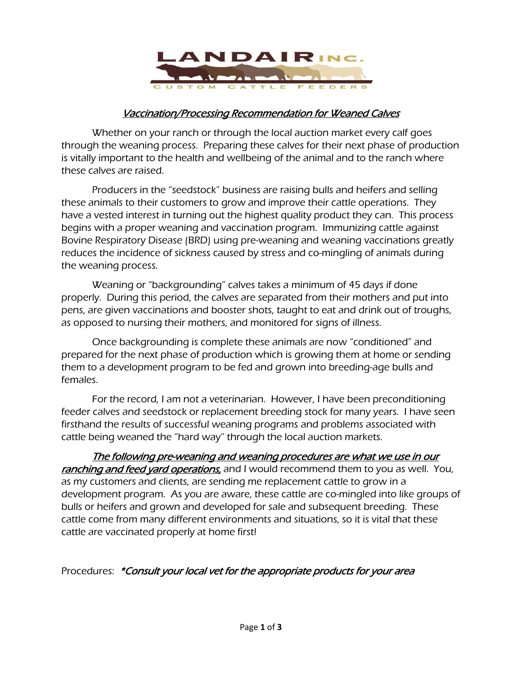

## Vaccination/Processing Recommendation for Weaned Calves

Whether on your ranch or through the local auction market every calf goes through the weaning process. Preparing these calves for their next phase of production is vitally important to the health and wellbeing of the animal and to the ranch where these calves are raised.

Producers in the "seedstock" business are raising bulls and heifers and selling these animals to their customers to grow and improve their cattle operations. They have a vested interest in turning out the highest quality product they can. This process begins with a proper weaning and vaccination program. Immunizing cattle against Bovine Respiratory Disease (BRD) using pre-weaning and weaning vaccinations greatly reduces the incidence of sickness caused by stress and co-mingling of animals during the weaning process.

Weaning or "backgrounding" calves takes a minimum of 45 days if done properly. During this period, the calves are separated from their mothers and put into pens, are given vaccinations and booster shots, taught to eat and drink out of troughs, as opposed to nursing their mothers, and monitored for signs of illness.

Once backgrounding is complete these animals are now "conditioned" and prepared for the next phase of production which is growing them at home or sending them to a development program to be fed and grown into breeding-age bulls and females.

For the record, I am not a veterinarian. However, I have been preconditioning feeder calves and seedstock or replacement breeding stock for many years. I have seen firsthand the results of successful weaning programs and problems associated with cattle being weaned the "hard way" through the local auction markets.

The following pre-weaning and weaning procedures are what we use in our ranching and feed yard operations, and I would recommend them to you as well. You, as my customers and clients, are sending me replacement cattle to grow in a development program. As you are aware, these cattle are co-mingled into like groups of bulls or heifers and grown and developed for sale and subsequent breeding. These cattle come from many different environments and situations, so it is vital that these cattle are vaccinated properly at home first!

Procedures: *\*Consult your local vet for the appropriate products for your area*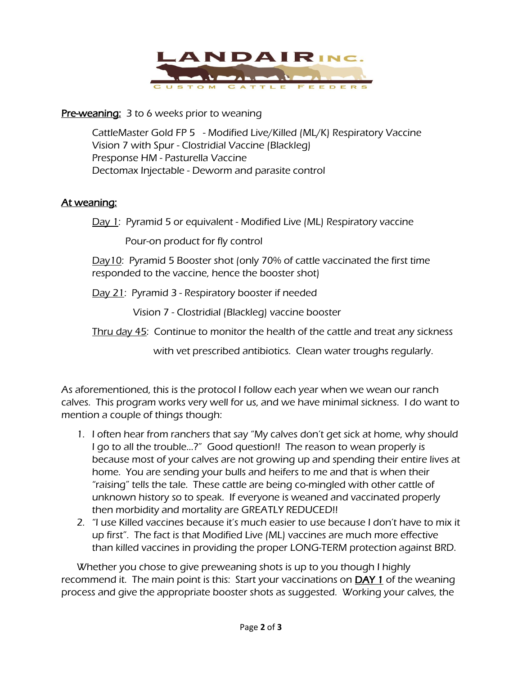

## Pre-weaning: 3 to 6 weeks prior to weaning

CattleMaster Gold FP 5 - Modified Live/Killed (ML/K) Respiratory Vaccine Vision 7 with Spur - Clostridial Vaccine (Blackleg) Presponse HM - Pasturella Vaccine Dectomax Injectable - Deworm and parasite control

## At weaning:

Day 1: Pyramid 5 or equivalent - Modified Live (ML) Respiratory vaccine

Pour-on product for fly control

Day10: Pyramid 5 Booster shot (only 70% of cattle vaccinated the first time responded to the vaccine, hence the booster shot)

Day 21: Pyramid 3 - Respiratory booster if needed

Vision 7 - Clostridial (Blackleg) vaccine booster

Thru day 45: Continue to monitor the health of the cattle and treat any sickness

with vet prescribed antibiotics. Clean water troughs regularly.

As aforementioned, this is the protocol I follow each year when we wean our ranch calves. This program works very well for us, and we have minimal sickness. I do want to mention a couple of things though:

- 1. I often hear from ranchers that say "My calves don't get sick at home, why should I go to all the trouble…?" Good question!! The reason to wean properly is because most of your calves are not growing up and spending their entire lives at home. You are sending your bulls and heifers to me and that is when their "raising" tells the tale. These cattle are being co-mingled with other cattle of unknown history so to speak. If everyone is weaned and vaccinated properly then morbidity and mortality are GREATLY REDUCED!!
- 2. "I use Killed vaccines because it's much easier to use because I don't have to mix it up first". The fact is that Modified Live (ML) vaccines are much more effective than killed vaccines in providing the proper LONG-TERM protection against BRD.

Whether you chose to give preweaning shots is up to you though I highly recommend it. The main point is this: Start your vaccinations on  $\overline{DAY}$  1 of the weaning process and give the appropriate booster shots as suggested. Working your calves, the